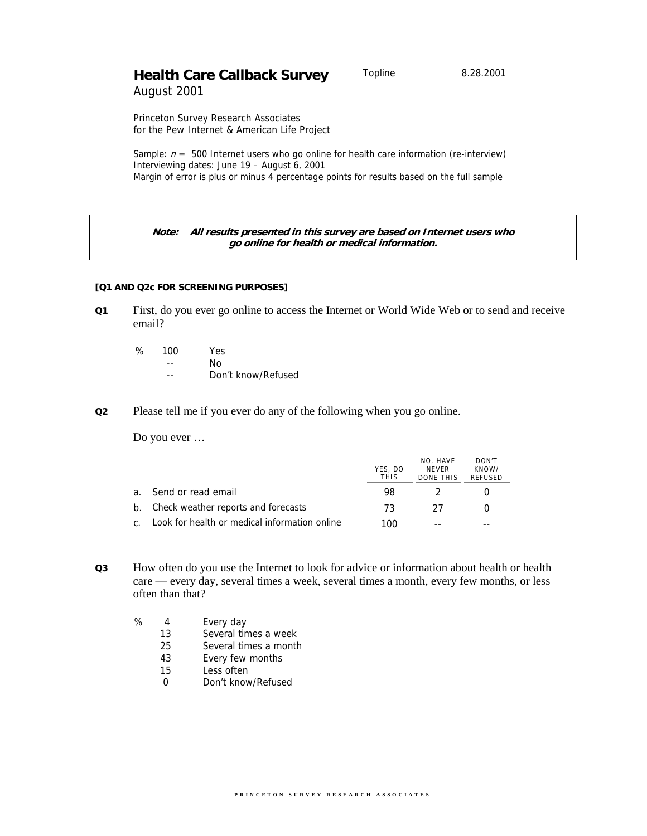# **Health Care Callback Survey** Topline 8.28.2001 August 2001

Princeton Survey Research Associates for the Pew Internet & American Life Project

Sample:  $n = 500$  Internet users who go online for health care information (re-interview) Interviewing dates: June 19 – August 6, 2001 Margin of error is plus or minus 4 percentage points for results based on the full sample

# **Note: All results presented in this survey are based on Internet users who go online for health or medical information.**

#### **[Q1 AND Q2c FOR SCREENING PURPOSES]**

**Q1** First, do you ever go online to access the Internet or World Wide Web or to send and receive email?

| ℅ | 100 | Yes.               |
|---|-----|--------------------|
|   |     | N٥                 |
|   |     | Don't know/Refused |

#### **Q2** Please tell me if you ever do any of the following when you go online.

Do you ever …

|                                                  | YES, DO<br><b>THIS</b> | NO. HAVE<br><b>NFVFR</b><br>DONE THIS | DON'T<br>KNOW/<br>REFUSED |
|--------------------------------------------------|------------------------|---------------------------------------|---------------------------|
| a. Send or read email                            | 98.                    | $\mathcal{L}$                         |                           |
| b. Check weather reports and forecasts           | 73.                    | -27                                   |                           |
| c. Look for health or medical information online | 100                    | $ -$                                  |                           |

- **Q3** How often do you use the Internet to look for advice or information about health or health care — every day, several times a week, several times a month, every few months, or less often than that?
	- % 4 Every day
		- 13 Several times a week
		- 25 Several times a month
		- 43 Every few months
		- 15 Less often
		- 0 Don't know/Refused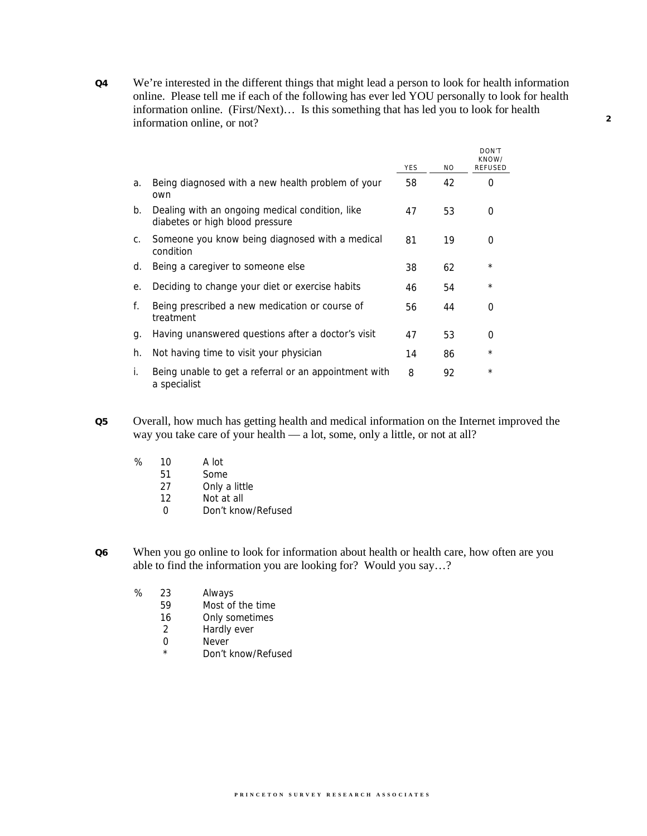**Q4** We're interested in the different things that might lead a person to look for health information online. Please tell me if each of the following has ever led YOU personally to look for health information online. (First/Next)… Is this something that has led you to look for health information online, or not?

|    |                                                                                    | <b>YES</b> | N <sub>O</sub> | DON'T<br>KNOW/<br><b>RFFUSFD</b> |
|----|------------------------------------------------------------------------------------|------------|----------------|----------------------------------|
| a. | Being diagnosed with a new health problem of your<br>own                           | 58         | 42             | O                                |
| b. | Dealing with an ongoing medical condition, like<br>diabetes or high blood pressure | 47         | 53             | 0                                |
| C. | Someone you know being diagnosed with a medical<br>condition                       | 81         | 19             | $\Omega$                         |
| d. | Being a caregiver to someone else                                                  | 38         | 62             | $\star$                          |
| е. | Deciding to change your diet or exercise habits                                    | 46         | 54             | $\star$                          |
| f. | Being prescribed a new medication or course of<br>treatment                        | 56         | 44             | 0                                |
| g. | Having unanswered questions after a doctor's visit                                 | 47         | 53             | $\Omega$                         |
| h. | Not having time to visit your physician                                            | 14         | 86             | $^\star$                         |
| i. | Being unable to get a referral or an appointment with<br>a specialist              | 8          | 92             | $\star$                          |

- **Q5** Overall, how much has getting health and medical information on the Internet improved the way you take care of your health — a lot, some, only a little, or not at all?
	- % 10 A lot
		- 51 Some
		- 27 Only a little
		- 12 Not at all
		- 0 Don't know/Refused
- **Q6** When you go online to look for information about health or health care, how often are you able to find the information you are looking for? Would you say…?
	- % 23 Always
		- 59 Most of the time
		- 16 Only sometimes
		- 2 Hardly ever
		- 0 Never
		- \* Don't know/Refused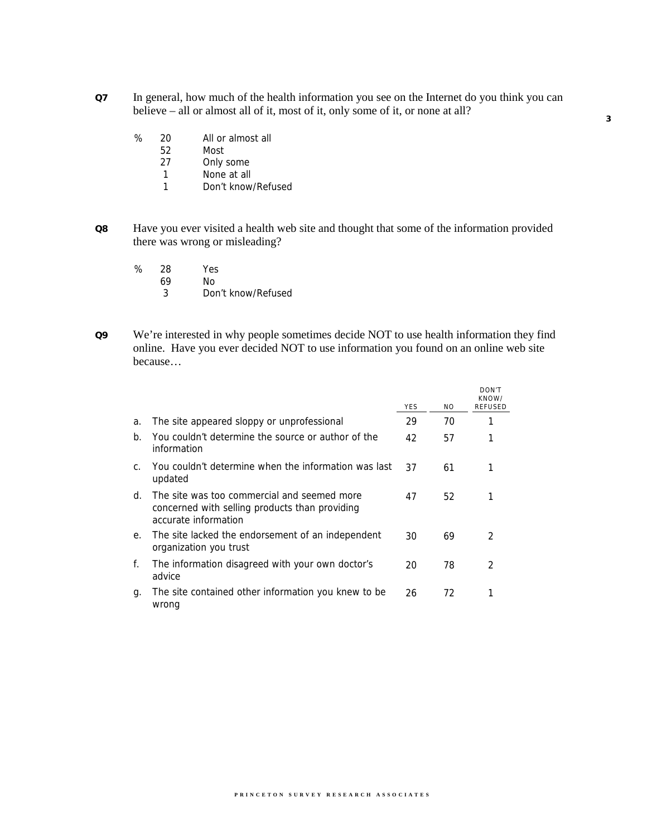- **Q7** In general, how much of the health information you see on the Internet do you think you can believe – all or almost all of it, most of it, only some of it, or none at all?
	- % 20 All or almost all
		- 52 Most
		- 27 Only some
		- 1 None at all
		- 1 Don't know/Refused
- **Q8** Have you ever visited a health web site and thought that some of the information provided there was wrong or misleading?
	- % 28 Yes
		- 69 No
		- 3 Don't know/Refused
- **Q9** We're interested in why people sometimes decide NOT to use health information they find online. Have you ever decided NOT to use information you found on an online web site because…

|                |                                                                                                                       | <b>YES</b> | N <sub>O</sub> | DON'T<br>KNOW/<br><b>RFFUSFD</b> |
|----------------|-----------------------------------------------------------------------------------------------------------------------|------------|----------------|----------------------------------|
| a.             | The site appeared sloppy or unprofessional                                                                            | 29         | 70             |                                  |
| $b_{\cdot}$    | You couldn't determine the source or author of the<br>information                                                     | 42         | 57             |                                  |
| $\mathsf{C}$ . | You couldn't determine when the information was last<br>updated                                                       | 37         | 61             |                                  |
| d.             | The site was too commercial and seemed more<br>concerned with selling products than providing<br>accurate information | 47         | 52             |                                  |
| $e_{1}$        | The site lacked the endorsement of an independent<br>organization you trust                                           | 30         | 69             | $\mathcal{P}$                    |
| f.             | The information disagreed with your own doctor's<br>advice                                                            | 20         | 78             | $\mathcal{P}$                    |
| q.             | The site contained other information you knew to be<br>wrong                                                          | 26         | 72             |                                  |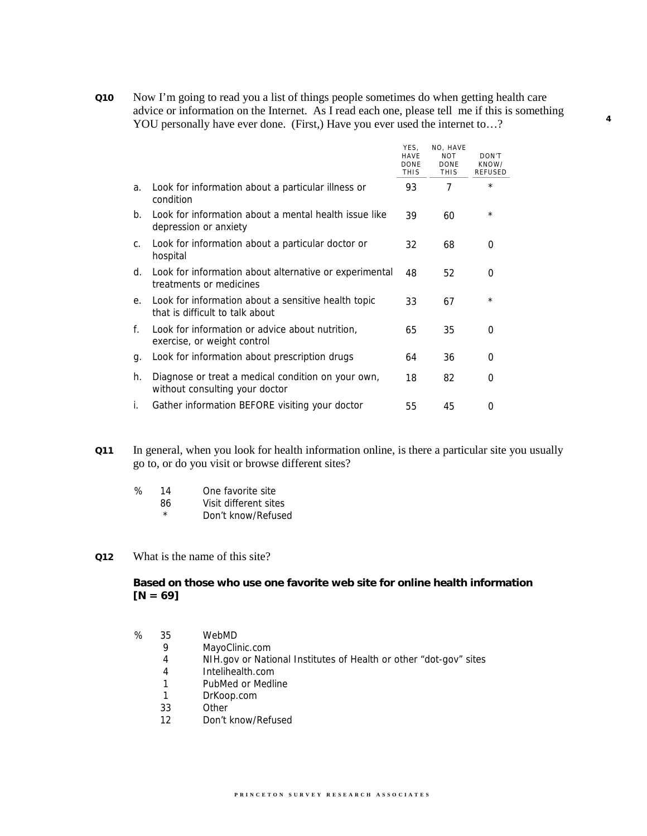**Q10** Now I'm going to read you a list of things people sometimes do when getting health care advice or information on the Internet. As I read each one, please tell me if this is something YOU personally have ever done. (First,) Have you ever used the internet to…?

**4**

|                                                                                        | YES,<br><b>HAVE</b><br><b>DONE</b><br><b>THIS</b> | NO, HAVE<br><b>NOT</b><br><b>DONE</b><br><b>THIS</b> | DON'T<br>KNOW/<br><b>REFUSED</b> |
|----------------------------------------------------------------------------------------|---------------------------------------------------|------------------------------------------------------|----------------------------------|
| Look for information about a particular illness or<br>condition                        | 93                                                | 7                                                    | $^\star$                         |
| Look for information about a mental health issue like<br>depression or anxiety         | 39                                                | 60                                                   | $^\star$                         |
| Look for information about a particular doctor or<br>hospital                          | 32                                                | 68                                                   | $\Omega$                         |
| Look for information about alternative or experimental<br>treatments or medicines      | 48                                                | 52                                                   | 0                                |
| Look for information about a sensitive health topic<br>that is difficult to talk about | 33                                                | 67                                                   | $\star$                          |
| Look for information or advice about nutrition.<br>exercise, or weight control         | 65                                                | 35                                                   | $\Omega$                         |
| Look for information about prescription drugs                                          | 64                                                | 36                                                   | $\Omega$                         |
| Diagnose or treat a medical condition on your own,<br>without consulting your doctor   | 18                                                | 82                                                   | $\Omega$                         |
| Gather information BEFORE visiting your doctor                                         | 55                                                | 45                                                   | $\Omega$                         |
|                                                                                        |                                                   |                                                      |                                  |

- **Q11** In general, when you look for health information online, is there a particular site you usually go to, or do you visit or browse different sites?
	- % 14 One favorite site
		- 86 Visit different sites
		- \* Don't know/Refused
- **Q12** What is the name of this site?

# **Based on those who use one favorite web site for online health information**   $[N = 69]$

- % 35 WebMD
	- 9 MayoClinic.com
	- 4 NIH.gov or National Institutes of Health or other "dot-gov" sites
	- 4 Intelihealth.com
	- 1 PubMed or Medline
	- 1 DrKoop.com
	- 33 Other
	- 12 Don't know/Refused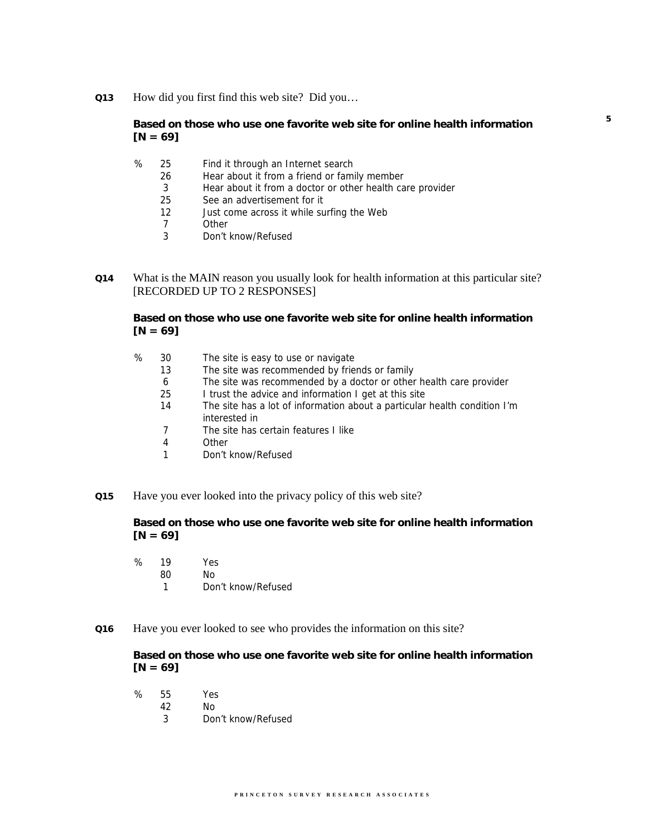**Q13** How did you first find this web site? Did you…

# **Based on those who use one favorite web site for online health information [N = 69]**

- % 25 Find it through an Internet search
	- 26 Hear about it from a friend or family member
	- 3 Hear about it from a doctor or other health care provider
	- 25 See an advertisement for it
	- 12 Just come across it while surfing the Web
	- 7 Other
	- 3 Don't know/Refused
- **Q14** What is the MAIN reason you usually look for health information at this particular site? [RECORDED UP TO 2 RESPONSES]

**Based on those who use one favorite web site for online health information [N = 69]**

- % 30 The site is easy to use or navigate
	- 13 The site was recommended by friends or family
	- 6 The site was recommended by a doctor or other health care provider
	- 25 I trust the advice and information I get at this site
	- 14 The site has a lot of information about a particular health condition I'm interested in
	- 7 The site has certain features I like
	- 4 Other
	- 1 Don't know/Refused
- **Q15** Have you ever looked into the privacy policy of this web site?

# **Based on those who use one favorite web site for online health information [N = 69]**

| ℅ | 19 | Yes.               |
|---|----|--------------------|
|   | 80 | Nο                 |
|   |    | Don't know/Refused |

**Q16** Have you ever looked to see who provides the information on this site?

## **Based on those who use one favorite web site for online health information [N = 69]**

| % | 55 | Yes                |
|---|----|--------------------|
|   | 42 | Nο                 |
|   | 3  | Don't know/Refused |

**5**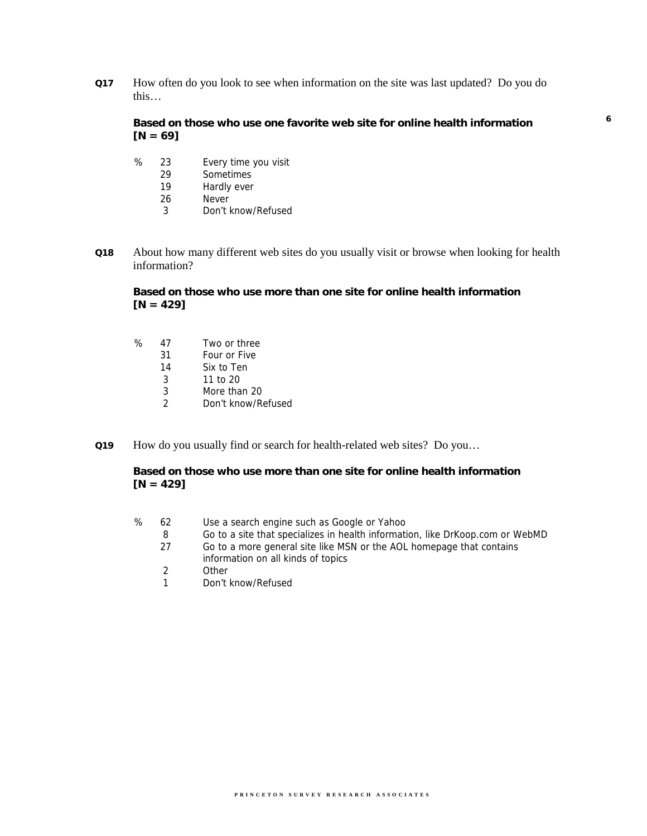**Q17** How often do you look to see when information on the site was last updated? Do you do this…

# **Based on those who use one favorite web site for online health information [N = 69]**

**6**

- % 23 Every time you visit
	- 29 Sometimes<br>19 Hardly ever
	- Hardly ever
	- 26 Never
	- 3 Don't know/Refused
- **Q18** About how many different web sites do you usually visit or browse when looking for health information?

# **Based on those who use more than one site for online health information [N = 429]**

| ℅ | 47 | Two or three       |
|---|----|--------------------|
|   | 31 | Four or Five       |
|   | 14 | Six to Ten         |
|   | 3  | 11 to $20$         |
|   | 3  | More than 20       |
|   | 2  | Don't know/Refused |

**Q19** How do you usually find or search for health-related web sites? Do you…

# **Based on those who use more than one site for online health information [N = 429]**

- % 62 Use a search engine such as Google or Yahoo
	- 8 Go to a site that specializes in health information, like DrKoop.com or WebMD
	- 27 Go to a more general site like MSN or the AOL homepage that contains information on all kinds of topics
	- 2 Other
	- 1 Don't know/Refused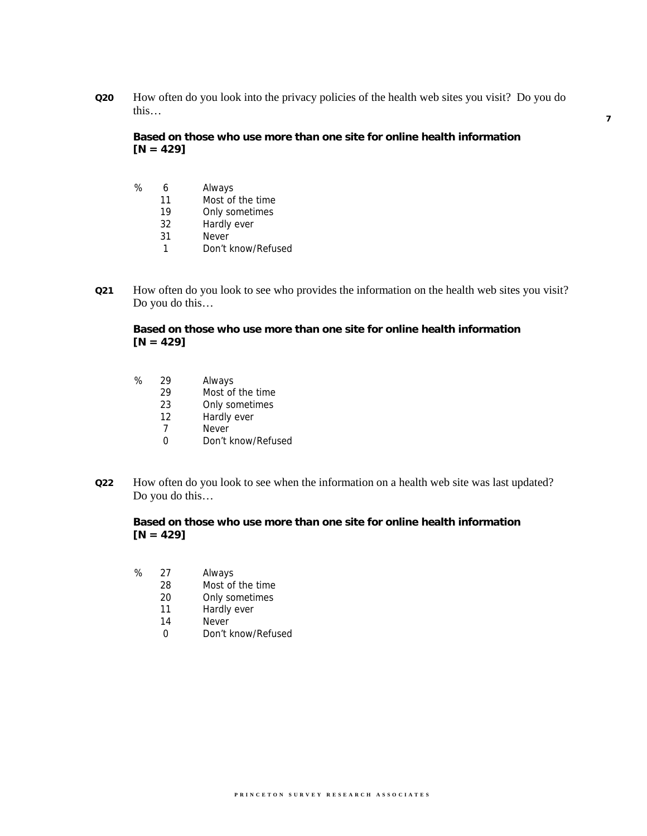**Q20** How often do you look into the privacy policies of the health web sites you visit? Do you do this…

**Based on those who use more than one site for online health information [N = 429]**

- % 6 Always 11 Most of the time
	- 19 Only sometimes
	- 32 Hardly ever
	- 31 Never
	- 1 Don't know/Refused
- **Q21** How often do you look to see who provides the information on the health web sites you visit? Do you do this…

# **Based on those who use more than one site for online health information [N = 429]**

- % 29 Always
	- 29 Most of the time
	- 23 Only sometimes
	- 12 Hardly ever
	- 7 Never
	- 0 Don't know/Refused
- **Q22** How often do you look to see when the information on a health web site was last updated? Do you do this…

# **Based on those who use more than one site for online health information [N = 429]**

- % 27 Always
	- 28 Most of the time
	- 20 Only sometimes
	- 11 Hardly ever
	- 14 Never
	- 0 Don't know/Refused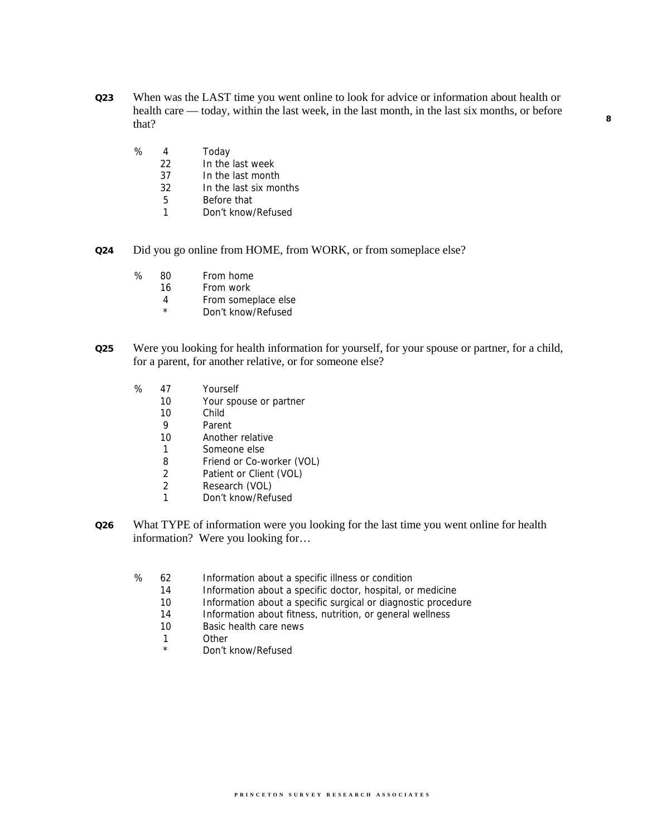- **Q23** When was the LAST time you went online to look for advice or information about health or health care — today, within the last week, in the last month, in the last six months, or before that?
	- % 4 Today<br>22 In the
		- In the last week
		- 37 In the last month
		- 32 In the last six months
		- 5 Before that
		- 1 Don't know/Refused
- **Q24** Did you go online from HOME, from WORK, or from someplace else?
	- % 80 From home
		- 16 From work
		- 4 From someplace else
		- \* Don't know/Refused
- **Q25** Were you looking for health information for yourself, for your spouse or partner, for a child, for a parent, for another relative, or for someone else?
	- % 47 Yourself
		- 10 Your spouse or partner
		- 10 Child
		- 9 Parent
		- 10 Another relative
		- 1 Someone else
		- 8 Friend or Co-worker (VOL)
		- 2 Patient or Client (VOL)
		- 2 Research (VOL)
		- 1 Don't know/Refused
- **Q26** What TYPE of information were you looking for the last time you went online for health information? Were you looking for…
	- % 62 Information about a specific illness or condition
		- 14 Information about a specific doctor, hospital, or medicine
		- 10 Information about a specific surgical or diagnostic procedure
		- 14 Information about fitness, nutrition, or general wellness
		- 10 Basic health care news
		- 1 Other<br>\* Pen<sup>t 1</sup>
		- Don't know/Refused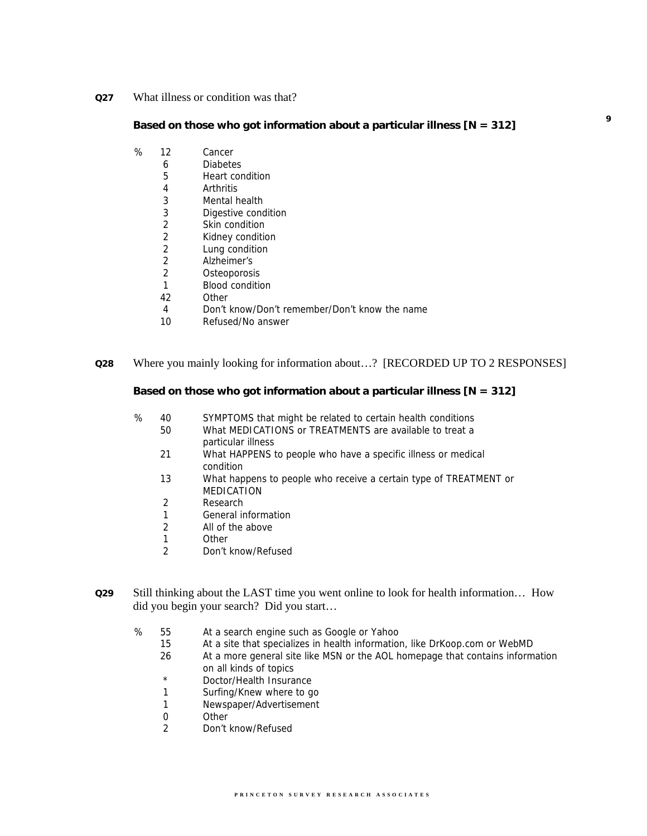**Q27** What illness or condition was that?

# **Based on those who got information about a particular illness [N = 312]**

**9**

- % 12 Cancer
	- 6 Diabetes
	- 5 Heart condition
	- 4 Arthritis
	- 3 Mental health
	- 3 Digestive condition
	- 2 Skin condition
	- 2 Kidney condition
	- 2 Lung condition<br>2 Alzheimer's 2 Alzheimer's
	- 2 Osteoporosis
	-
	- 1 Blood condition<br>42 Other **Other**
	- 4 Don't know/Don't remember/Don't know the name
	- 10 Refused/No answer

#### **Q28** Where you mainly looking for information about…? [RECORDED UP TO 2 RESPONSES]

#### **Based on those who got information about a particular illness [N = 312]**

- % 40 SYMPTOMS that might be related to certain health conditions
	- 50 What MEDICATIONS or TREATMENTS are available to treat a particular illness
		- 21 What HAPPENS to people who have a specific illness or medical condition
		- 13 What happens to people who receive a certain type of TREATMENT or MEDICATION
		- 2 Research
		- 1 General information
		- 2 All of the above
		- 1 Other
		- 2 Don't know/Refused
- **Q29** Still thinking about the LAST time you went online to look for health information… How did you begin your search? Did you start…
	- % 55 At a search engine such as Google or Yahoo
		- 15 At a site that specializes in health information, like DrKoop.com or WebMD
		- 26 At a more general site like MSN or the AOL homepage that contains information on all kinds of topics
		- \* Doctor/Health Insurance
		- 1 Surfing/Knew where to go
		- 1 Newspaper/Advertisement
		- 0 Other
		- 2 Don't know/Refused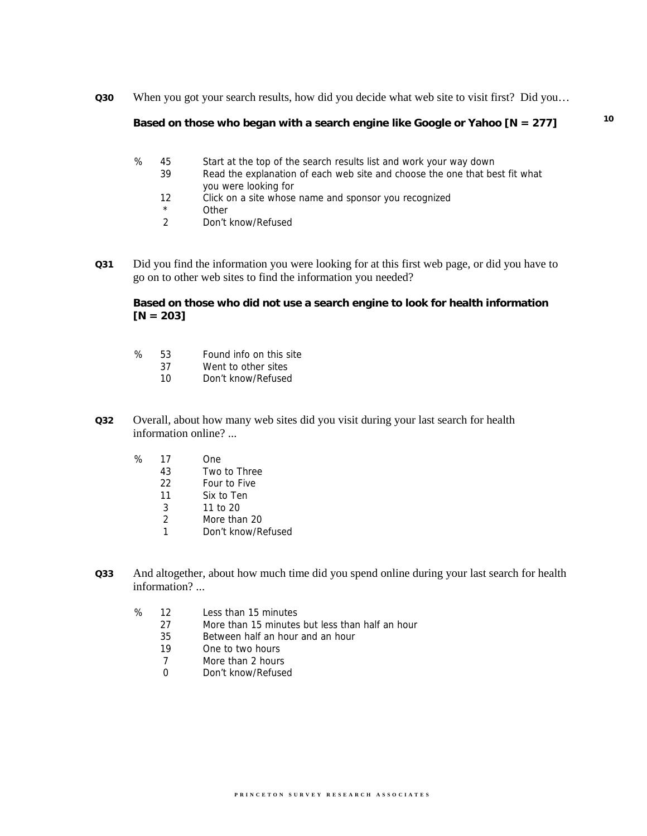**Q30** When you got your search results, how did you decide what web site to visit first? Did you…

#### **Based on those who began with a search engine like Google or Yahoo [N = 277]**

- % 45 Start at the top of the search results list and work your way down
	- 39 Read the explanation of each web site and choose the one that best fit what you were looking for
	- 12 Click on a site whose name and sponsor you recognized
	- \* Other<br>2 Don't
	- 2 Don't know/Refused
- **Q31** Did you find the information you were looking for at this first web page, or did you have to go on to other web sites to find the information you needed?

**Based on those who did not use a search engine to look for health information [N = 203]** 

- % 53 Found info on this site
	- 37 Went to other sites
	- 10 Don't know/Refused
- **Q32** Overall, about how many web sites did you visit during your last search for health information online? ...
	- % 17 One
		- 43 Two to Three
		- 22 Four to Five
		- 11 Six to Ten
		- 3 11 to 20
		- 2 More than 20
		- 1 Don't know/Refused
- **Q33** And altogether, about how much time did you spend online during your last search for health information? ...
	- % 12 Less than 15 minutes
		- 27 More than 15 minutes but less than half an hour
		- 35 Between half an hour and an hour
		- 19 One to two hours
		- 7 More than 2 hours
		- 0 Don't know/Refused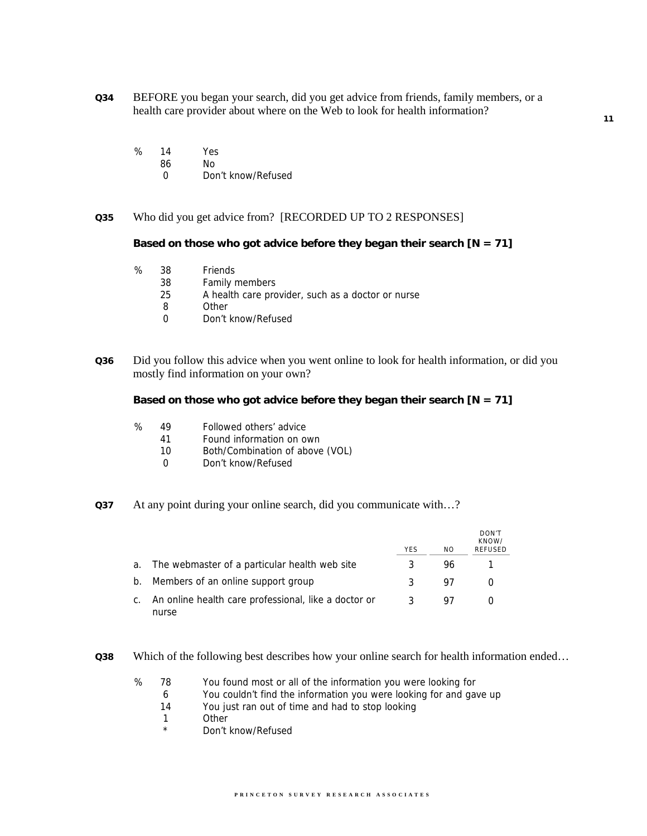- **Q34** BEFORE you began your search, did you get advice from friends, family members, or a health care provider about where on the Web to look for health information?
	- % 14 Yes
		- 86 No
			- 0 Don't know/Refused
- **Q35** Who did you get advice from? [RECORDED UP TO 2 RESPONSES]

**Based on those who got advice before they began their search [N = 71]** 

- % 38 Friends
	- 38 Family members
	- 25 A health care provider, such as a doctor or nurse
	- 8 Other
	- 0 Don't know/Refused
- **Q36** Did you follow this advice when you went online to look for health information, or did you mostly find information on your own?

**Based on those who got advice before they began their search [N = 71]** 

- % 49 Followed others' advice
	- 41 Found information on own
	- 10 Both/Combination of above (VOL)
	- 0 Don't know/Refused
- **Q37** At any point during your online search, did you communicate with…?

|    |                                                               | <b>YES</b> | NO. | DON'T<br>KNOW/<br><b>REFUSED</b> |
|----|---------------------------------------------------------------|------------|-----|----------------------------------|
|    | a. The webmaster of a particular health web site              | 3          | 96  |                                  |
|    | b. Members of an online support group                         | 3          | 97  |                                  |
| C. | An online health care professional, like a doctor or<br>nurse |            | 97  |                                  |

**Q38** Which of the following best describes how your online search for health information ended…

- % 78 You found most or all of the information you were looking for
	- 6 You couldn't find the information you were looking for and gave up
	- 14 You just ran out of time and had to stop looking
	- 1 Other
	- \* Don't know/Refused

**11**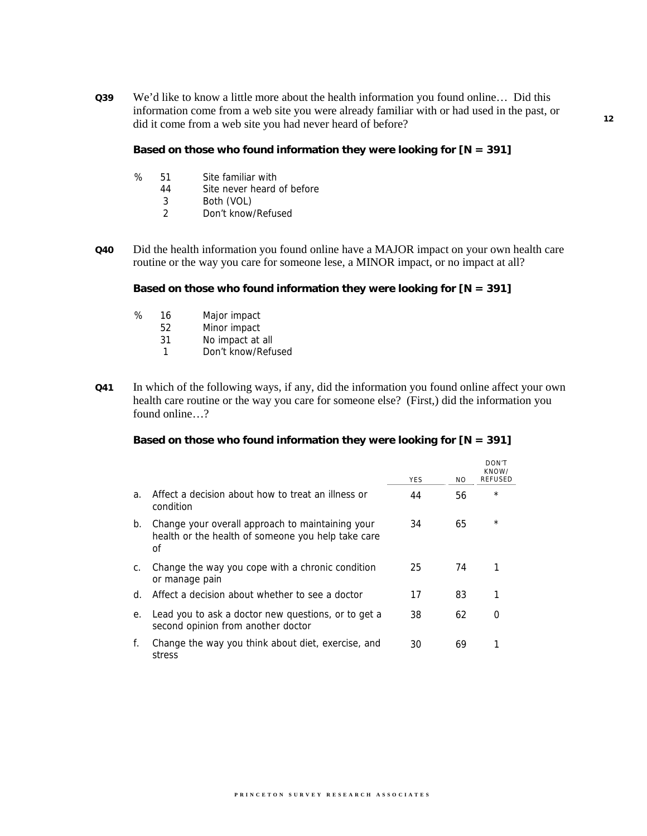**Q39** We'd like to know a little more about the health information you found online… Did this information come from a web site you were already familiar with or had used in the past, or did it come from a web site you had never heard of before?

**Based on those who found information they were looking for [N = 391]** 

- % 51 Site familiar with
	- 44 Site never heard of before
	- 3 Both (VOL)
	- 2 Don't know/Refused
- **Q40** Did the health information you found online have a MAJOR impact on your own health care routine or the way you care for someone lese, a MINOR impact, or no impact at all?

### **Based on those who found information they were looking for [N = 391]**

- % 16 Major impact
	- 52 Minor impact
	- 31 No impact at all
	- 1 Don't know/Refused
- **Q41** In which of the following ways, if any, did the information you found online affect your own health care routine or the way you care for someone else? (First,) did the information you found online…?

#### **Based on those who found information they were looking for [N = 391]**

|    |                                                                                                              | <b>YES</b> | NO. | DON'T<br>KNOW/<br><b>REFUSED</b> |
|----|--------------------------------------------------------------------------------------------------------------|------------|-----|----------------------------------|
| a. | Affect a decision about how to treat an illness or<br>condition                                              | 44         | 56  | $\star$                          |
| b. | Change your overall approach to maintaining your<br>health or the health of someone you help take care<br>οf | 34         | 65  | $^\star$                         |
| C. | Change the way you cope with a chronic condition<br>or manage pain                                           | 25         | 74  |                                  |
| d. | Affect a decision about whether to see a doctor                                                              | 17         | 83  |                                  |
| е. | Lead you to ask a doctor new questions, or to get a<br>second opinion from another doctor                    | 38         | 62  | O                                |
| f. | Change the way you think about diet, exercise, and<br>stress                                                 | 30         | 69  |                                  |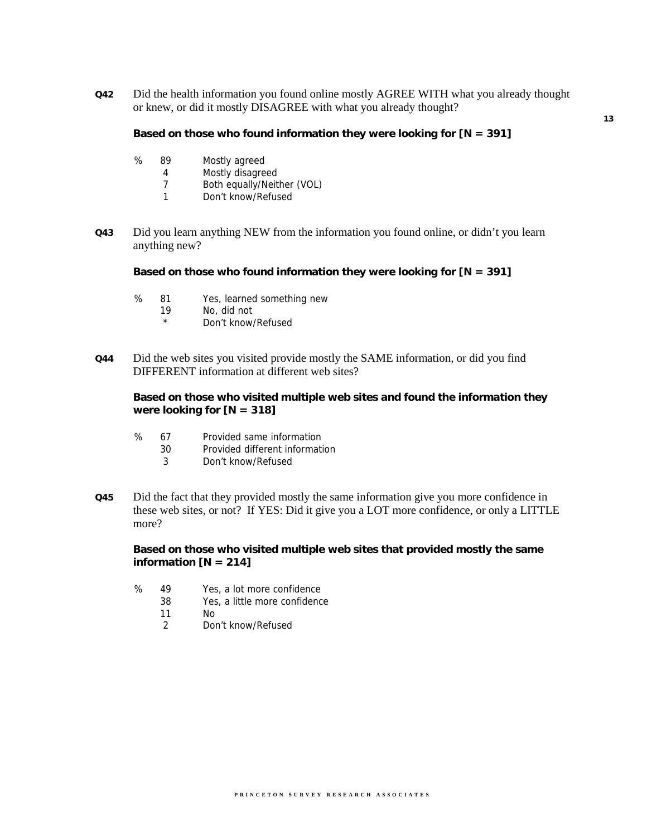**Q42** Did the health information you found online mostly AGREE WITH what you already thought or knew, or did it mostly DISAGREE with what you already thought?

**Based on those who found information they were looking for [N = 391]** 

- % 89 Mostly agreed
	- 4 Mostly disagreed
		- 7 Both equally/Neither (VOL)
		- 1 Don't know/Refused
- **Q43** Did you learn anything NEW from the information you found online, or didn't you learn anything new?

**Based on those who found information they were looking for [N = 391]** 

- % 81 Yes, learned something new
	- 19 No, did not
	- Don't know/Refused
- **Q44** Did the web sites you visited provide mostly the SAME information, or did you find DIFFERENT information at different web sites?

**Based on those who visited multiple web sites and found the information they were looking for [N = 318]** 

- % 67 Provided same information
	- 30 Provided different information
	- 3 Don't know/Refused
- **Q45** Did the fact that they provided mostly the same information give you more confidence in these web sites, or not? If YES: Did it give you a LOT more confidence, or only a LITTLE more?

# **Based on those who visited multiple web sites that provided mostly the same information [N = 214]**

- % 49 Yes, a lot more confidence
	- 38 Yes, a little more confidence
		- 11 No
		- 2 Don't know/Refused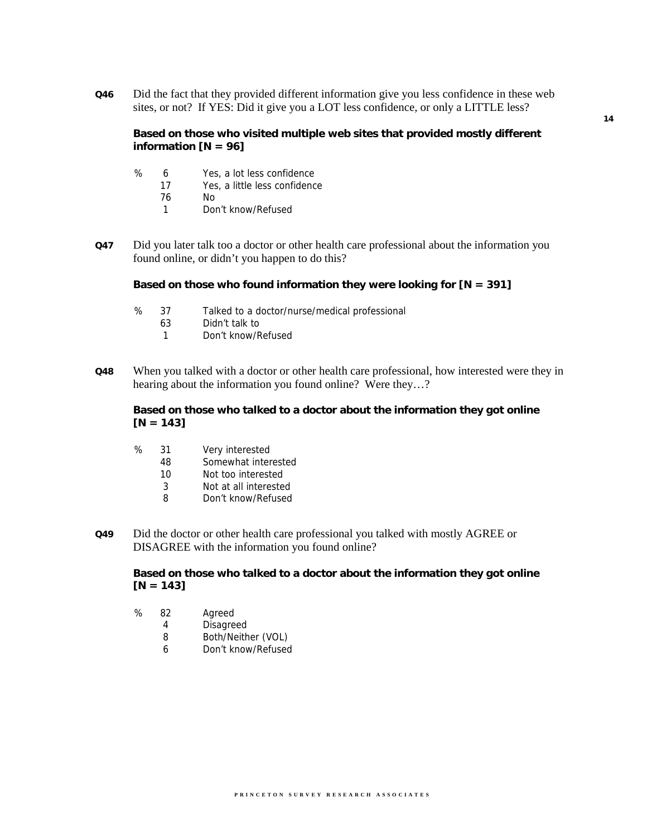**Q46** Did the fact that they provided different information give you less confidence in these web sites, or not? If YES: Did it give you a LOT less confidence, or only a LITTLE less?

**Based on those who visited multiple web sites that provided mostly different information [N = 96]** 

- % 6 Yes, a lot less confidence
	- 17 Yes, a little less confidence
		- 76 No
		- 1 Don't know/Refused
- **Q47** Did you later talk too a doctor or other health care professional about the information you found online, or didn't you happen to do this?

#### **Based on those who found information they were looking for [N = 391]**

- % 37 Talked to a doctor/nurse/medical professional
	- 63 Didn't talk to
	- 1 Don't know/Refused
- **Q48** When you talked with a doctor or other health care professional, how interested were they in hearing about the information you found online? Were they…?

# **Based on those who talked to a doctor about the information they got online [N = 143]**

- % 31 Very interested
	- 48 Somewhat interested
	- 10 Not too interested
	- 3 Not at all interested
	- 8 Don't know/Refused
- **Q49** Did the doctor or other health care professional you talked with mostly AGREE or DISAGREE with the information you found online?

# **Based on those who talked to a doctor about the information they got online [N = 143]**

- % 82 Agreed
	- 4 Disagreed
	- 8 Both/Neither (VOL)
	- 6 Don't know/Refused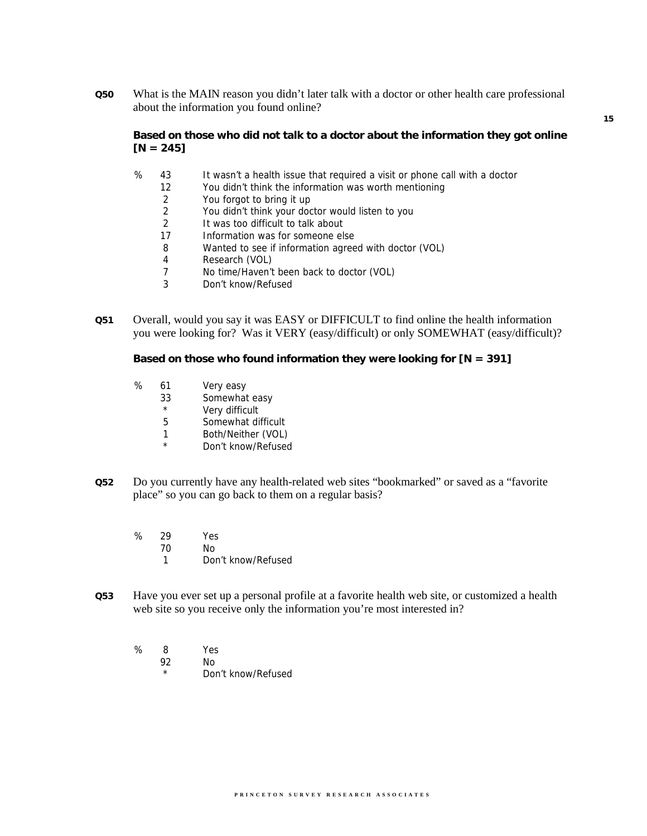**Q50** What is the MAIN reason you didn't later talk with a doctor or other health care professional about the information you found online?

# **Based on those who did not talk to a doctor about the information they got online**   $[N = 245]$

- % 43 It wasn't a health issue that required a visit or phone call with a doctor
	- 12 You didn't think the information was worth mentioning
	- 2 You forgot to bring it up
	- 2 You didn't think your doctor would listen to you
	- 2 It was too difficult to talk about
	- 17 Information was for someone else
	- 8 Wanted to see if information agreed with doctor (VOL)
	- 4 Research (VOL)
	- 7 No time/Haven't been back to doctor (VOL)
	- 3 Don't know/Refused
- **Q51** Overall, would you say it was EASY or DIFFICULT to find online the health information you were looking for? Was it VERY (easy/difficult) or only SOMEWHAT (easy/difficult)?

#### **Based on those who found information they were looking for [N = 391]**

- % 61 Very easy
	- 33 Somewhat easy
	- \* Very difficult
	- 5 Somewhat difficult
	- 1 Both/Neither (VOL)
	- \* Don't know/Refused
- **Q52** Do you currently have any health-related web sites "bookmarked" or saved as a "favorite place" so you can go back to them on a regular basis?
	- % 29 Yes 70 No
		- 1 Don't know/Refused
- **Q53** Have you ever set up a personal profile at a favorite health web site, or customized a health web site so you receive only the information you're most interested in?
	- % 8 Yes
		- 92 No
			- Don't know/Refused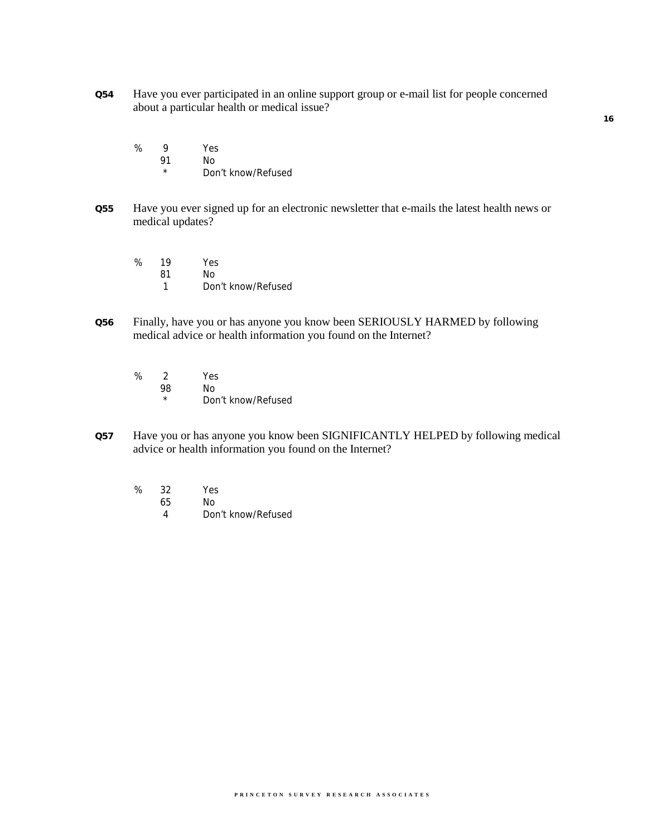- **Q54** Have you ever participated in an online support group or e-mail list for people concerned about a particular health or medical issue?
	- % 9 Yes 91 No
		- \* Don't know/Refused
- **Q55** Have you ever signed up for an electronic newsletter that e-mails the latest health news or medical updates?
	- % 19 Yes 81 No 1 Don't know/Refused
- **Q56** Finally, have you or has anyone you know been SERIOUSLY HARMED by following medical advice or health information you found on the Internet?
	- % 2 Yes 98 No Don't know/Refused
- **Q57** Have you or has anyone you know been SIGNIFICANTLY HELPED by following medical advice or health information you found on the Internet?
	- % 32 Yes 65 No
		- 4 Don't know/Refused